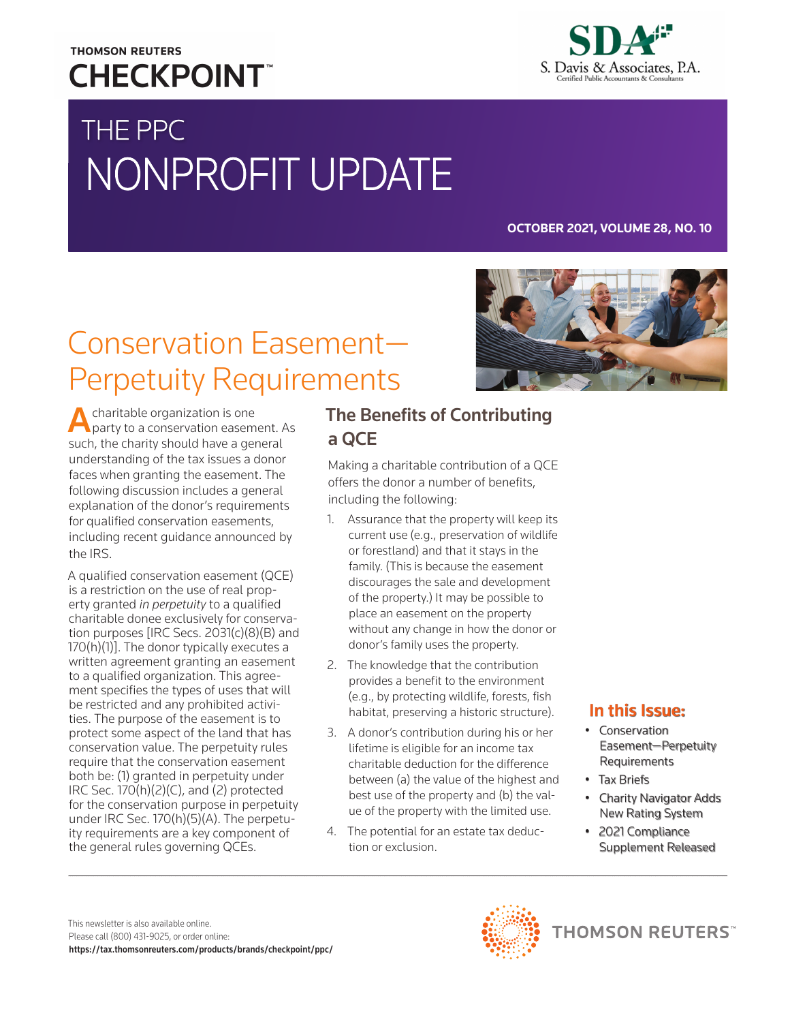# **THOMSON REUTERS CHECKPOINT**



# THE PPC NONPROFIT UPDATE

#### **OCTOBER 2021, VOLUME 28, NO. 10**

# Conservation Easement— Perpetuity Requirements

A charitable organization is one<br>
party to a conservation easement. As such, the charity should have a general understanding of the tax issues a donor faces when granting the easement. The following discussion includes a general explanation of the donor's requirements for qualified conservation easements, including recent guidance announced by the IRS.

A qualified conservation easement (QCE) is a restriction on the use of real property granted *in perpetuity* to a qualified charitable donee exclusively for conservation purposes [IRC Secs. 2031(c)(8)(B) and 170(h)(1)]. The donor typically executes a written agreement granting an easement to a qualified organization. This agreement specifies the types of uses that will be restricted and any prohibited activities. The purpose of the easement is to protect some aspect of the land that has conservation value. The perpetuity rules require that the conservation easement both be: (1) granted in perpetuity under IRC Sec.  $170(h)(2)(C)$ , and  $(2)$  protected for the conservation purpose in perpetuity under IRC Sec. 170(h)(5)(A). The perpetuity requirements are a key component of the general rules governing QCEs.

## The Benefits of Contributing a QCE

Making a charitable contribution of a QCE offers the donor a number of benefits, including the following:

- 1. Assurance that the property will keep its current use (e.g., preservation of wildlife or forestland) and that it stays in the family. (This is because the easement discourages the sale and development of the property.) It may be possible to place an easement on the property without any change in how the donor or donor's family uses the property.
- 2. The knowledge that the contribution provides a benefit to the environment (e.g., by protecting wildlife, forests, fish habitat, preserving a historic structure).
- 3. A donor's contribution during his or her lifetime is eligible for an income tax charitable deduction for the difference between (a) the value of the highest and best use of the property and (b) the value of the property with the limited use.
- 4. The potential for an estate tax deduction or exclusion.



### In this Issue:

- Conservation Easement—Perpetuity Requirements
- Tax Briefs
- Charity Navigator Adds New Rating System
- 2021 Compliance Supplement Released

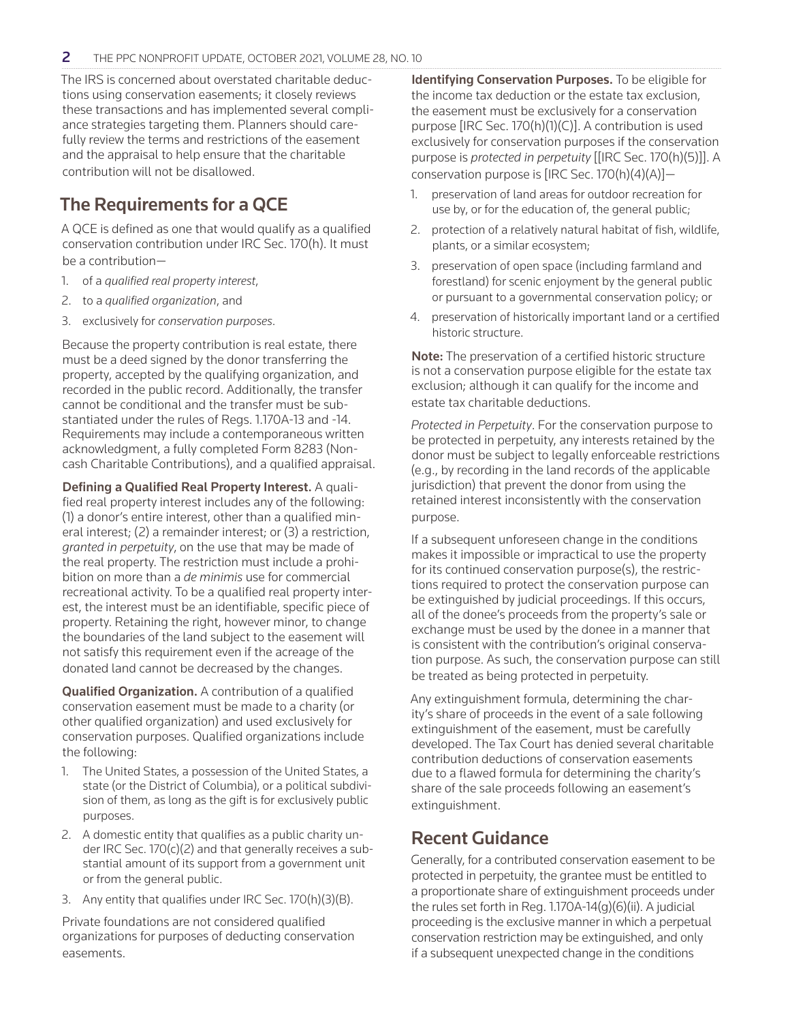The IRS is concerned about overstated charitable deductions using conservation easements; it closely reviews these transactions and has implemented several compliance strategies targeting them. Planners should carefully review the terms and restrictions of the easement and the appraisal to help ensure that the charitable contribution will not be disallowed.

## The Requirements for a QCE

A QCE is defined as one that would qualify as a qualified conservation contribution under IRC Sec. 170(h). It must be a contribution—

- 1. of a *qualified real property interest*,
- 2. to a *qualified organization*, and
- 3. exclusively for *conservation purposes*.

Because the property contribution is real estate, there must be a deed signed by the donor transferring the property, accepted by the qualifying organization, and recorded in the public record. Additionally, the transfer cannot be conditional and the transfer must be substantiated under the rules of Regs. 1.170A-13 and -14. Requirements may include a contemporaneous written acknowledgment, a fully completed Form 8283 (Noncash Charitable Contributions), and a qualified appraisal.

Defining a Qualified Real Property Interest. A qualified real property interest includes any of the following: (1) a donor's entire interest, other than a qualified mineral interest; (2) a remainder interest; or (3) a restriction, *granted in perpetuity*, on the use that may be made of the real property. The restriction must include a prohibition on more than a *de minimis* use for commercial recreational activity. To be a qualified real property interest, the interest must be an identifiable, specific piece of property. Retaining the right, however minor, to change the boundaries of the land subject to the easement will not satisfy this requirement even if the acreage of the donated land cannot be decreased by the changes.

Qualified Organization. A contribution of a qualified conservation easement must be made to a charity (or other qualified organization) and used exclusively for conservation purposes. Qualified organizations include the following:

- 1. The United States, a possession of the United States, a state (or the District of Columbia), or a political subdivision of them, as long as the gift is for exclusively public purposes.
- 2. A domestic entity that qualifies as a public charity under IRC Sec. 170(c)(2) and that generally receives a substantial amount of its support from a government unit or from the general public.
- 3. Any entity that qualifies under IRC Sec. 170(h)(3)(B).

Private foundations are not considered qualified organizations for purposes of deducting conservation easements.

Identifying Conservation Purposes. To be eligible for the income tax deduction or the estate tax exclusion, the easement must be exclusively for a conservation purpose [IRC Sec. 170(h)(1)(C)]. A contribution is used exclusively for conservation purposes if the conservation purpose is *protected in perpetuity* [[IRC Sec. 170(h)(5)]]. A conservation purpose is [IRC Sec. 170(h)(4)(A)]—

- 1. preservation of land areas for outdoor recreation for use by, or for the education of, the general public;
- 2. protection of a relatively natural habitat of fish, wildlife, plants, or a similar ecosystem;
- 3. preservation of open space (including farmland and forestland) for scenic enjoyment by the general public or pursuant to a governmental conservation policy; or
- 4. preservation of historically important land or a certified historic structure.

Note: The preservation of a certified historic structure is not a conservation purpose eligible for the estate tax exclusion; although it can qualify for the income and estate tax charitable deductions.

*Protected in Perpetuity*. For the conservation purpose to be protected in perpetuity, any interests retained by the donor must be subject to legally enforceable restrictions (e.g., by recording in the land records of the applicable jurisdiction) that prevent the donor from using the retained interest inconsistently with the conservation purpose.

If a subsequent unforeseen change in the conditions makes it impossible or impractical to use the property for its continued conservation purpose(s), the restrictions required to protect the conservation purpose can be extinguished by judicial proceedings. If this occurs, all of the donee's proceeds from the property's sale or exchange must be used by the donee in a manner that is consistent with the contribution's original conservation purpose. As such, the conservation purpose can still be treated as being protected in perpetuity.

Any extinguishment formula, determining the charity's share of proceeds in the event of a sale following extinguishment of the easement, must be carefully developed. The Tax Court has denied several charitable contribution deductions of conservation easements due to a flawed formula for determining the charity's share of the sale proceeds following an easement's extinguishment.

### Recent Guidance

Generally, for a contributed conservation easement to be protected in perpetuity, the grantee must be entitled to a proportionate share of extinguishment proceeds under the rules set forth in Reg. 1.170A-14(g)(6)(ii). A judicial proceeding is the exclusive manner in which a perpetual conservation restriction may be extinguished, and only if a subsequent unexpected change in the conditions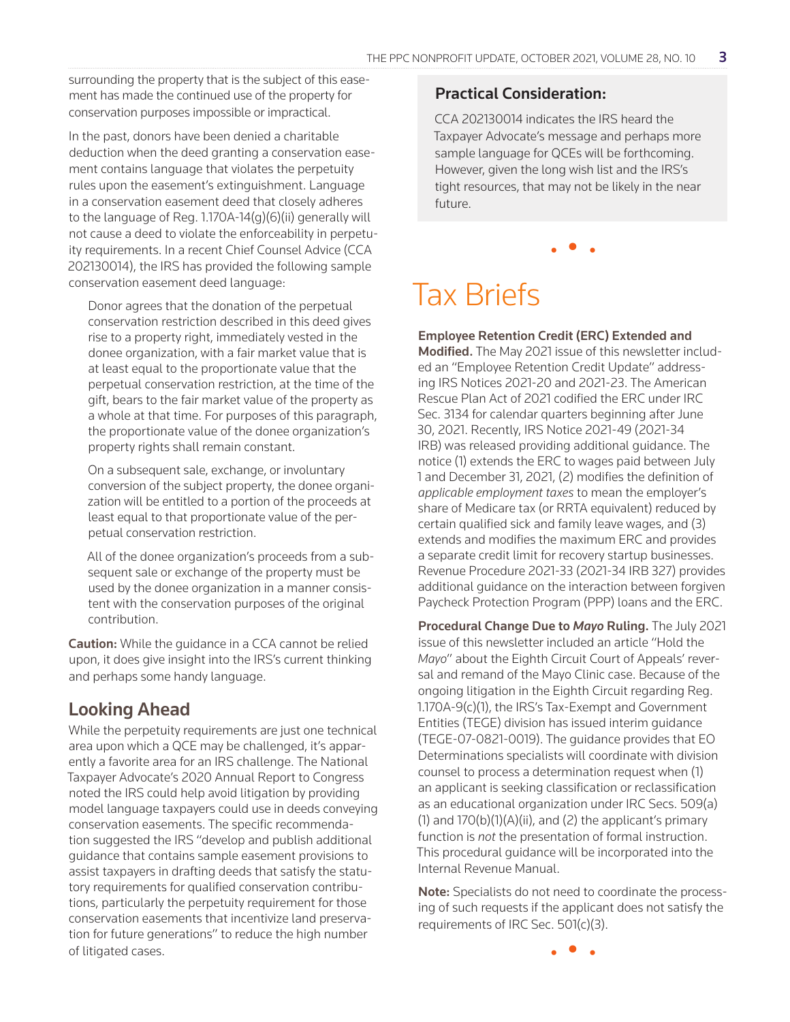surrounding the property that is the subject of this easement has made the continued use of the property for conservation purposes impossible or impractical.

In the past, donors have been denied a charitable deduction when the deed granting a conservation easement contains language that violates the perpetuity rules upon the easement's extinguishment. Language in a conservation easement deed that closely adheres to the language of Reg. 1.170A-14(g)(6)(ii) generally will not cause a deed to violate the enforceability in perpetuity requirements. In a recent Chief Counsel Advice (CCA 202130014), the IRS has provided the following sample conservation easement deed language:

Donor agrees that the donation of the perpetual conservation restriction described in this deed gives rise to a property right, immediately vested in the donee organization, with a fair market value that is at least equal to the proportionate value that the perpetual conservation restriction, at the time of the gift, bears to the fair market value of the property as a whole at that time. For purposes of this paragraph, the proportionate value of the donee organization's property rights shall remain constant.

On a subsequent sale, exchange, or involuntary conversion of the subject property, the donee organization will be entitled to a portion of the proceeds at least equal to that proportionate value of the perpetual conservation restriction.

All of the donee organization's proceeds from a subsequent sale or exchange of the property must be used by the donee organization in a manner consistent with the conservation purposes of the original contribution.

**Caution:** While the quidance in a CCA cannot be relied upon, it does give insight into the IRS's current thinking and perhaps some handy language.

### Looking Ahead

While the perpetuity requirements are just one technical area upon which a QCE may be challenged, it's apparently a favorite area for an IRS challenge. The National Taxpayer Advocate's 2020 Annual Report to Congress noted the IRS could help avoid litigation by providing model language taxpayers could use in deeds conveying conservation easements. The specific recommendation suggested the IRS "develop and publish additional guidance that contains sample easement provisions to assist taxpayers in drafting deeds that satisfy the statutory requirements for qualified conservation contributions, particularly the perpetuity requirement for those conservation easements that incentivize land preservation for future generations" to reduce the high number of litigated cases.

#### Practical Consideration:

CCA 202130014 indicates the IRS heard the Taxpayer Advocate's message and perhaps more sample language for QCEs will be forthcoming. However, given the long wish list and the IRS's tight resources, that may not be likely in the near future.

• • •

# Tax Briefs

#### Employee Retention Credit (ERC) Extended and

Modified. The May 2021 issue of this newsletter included an "Employee Retention Credit Update" addressing IRS Notices 2021-20 and 2021-23. The American Rescue Plan Act of 2021 codified the ERC under IRC Sec. 3134 for calendar quarters beginning after June 30, 2021. Recently, IRS Notice 2021-49 (2021-34 IRB) was released providing additional guidance. The notice (1) extends the ERC to wages paid between July 1 and December 31, 2021, (2) modifies the definition of *applicable employment taxes* to mean the employer's share of Medicare tax (or RRTA equivalent) reduced by certain qualified sick and family leave wages, and (3) extends and modifies the maximum ERC and provides a separate credit limit for recovery startup businesses. Revenue Procedure 2021-33 (2021-34 IRB 327) provides additional guidance on the interaction between forgiven Paycheck Protection Program (PPP) loans and the ERC.

Procedural Change Due to *Mayo* Ruling. The July 2021 issue of this newsletter included an article "Hold the *Mayo*" about the Eighth Circuit Court of Appeals' reversal and remand of the Mayo Clinic case. Because of the ongoing litigation in the Eighth Circuit regarding Reg. 1.170A-9(c)(1), the IRS's Tax-Exempt and Government Entities (TEGE) division has issued interim guidance (TEGE-07-0821-0019). The guidance provides that EO Determinations specialists will coordinate with division counsel to process a determination request when (1) an applicant is seeking classification or reclassification as an educational organization under IRC Secs. 509(a)  $(1)$  and  $170(b)(1)(A)(ii)$ , and  $(2)$  the applicant's primary function is *not* the presentation of formal instruction. This procedural guidance will be incorporated into the Internal Revenue Manual.

Note: Specialists do not need to coordinate the processing of such requests if the applicant does not satisfy the requirements of IRC Sec. 501(c)(3).

• • •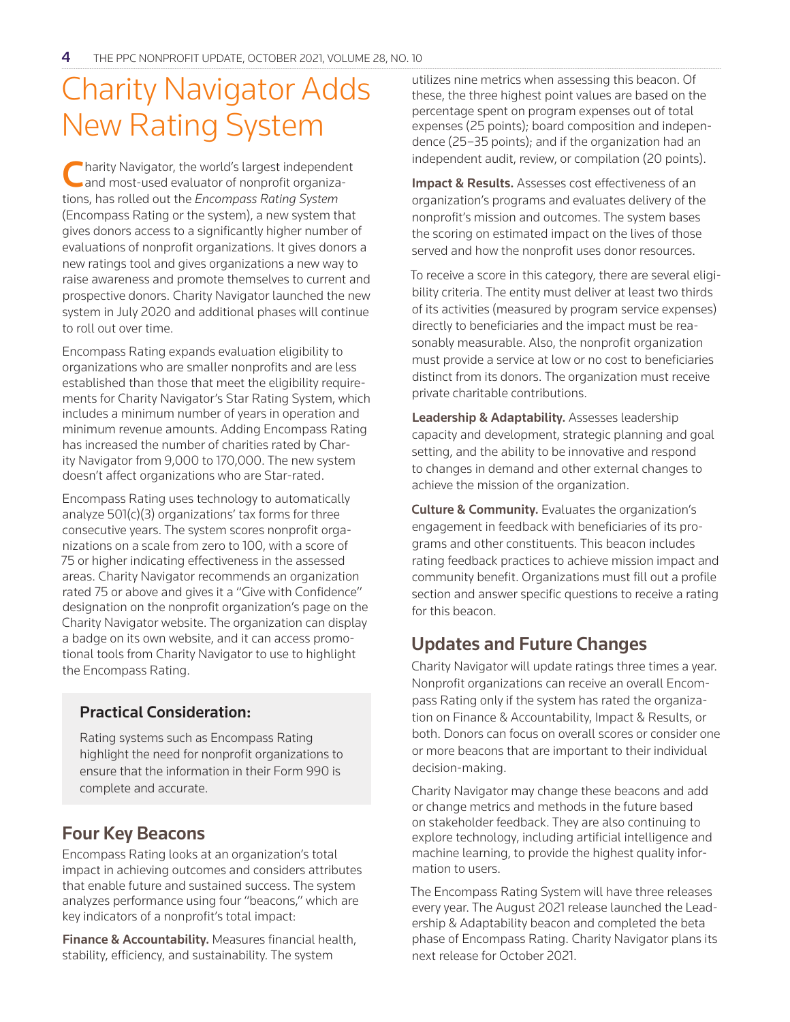# Charity Navigator Adds New Rating System

Charity Navigator, the world's largest independent<br>and most-used evaluator of nonprofit organizations, has rolled out the *Encompass Rating System* (Encompass Rating or the system), a new system that gives donors access to a significantly higher number of evaluations of nonprofit organizations. It gives donors a new ratings tool and gives organizations a new way to raise awareness and promote themselves to current and prospective donors. Charity Navigator launched the new system in July 2020 and additional phases will continue to roll out over time.

Encompass Rating expands evaluation eligibility to organizations who are smaller nonprofits and are less established than those that meet the eligibility requirements for Charity Navigator's Star Rating System, which includes a minimum number of years in operation and minimum revenue amounts. Adding Encompass Rating has increased the number of charities rated by Charity Navigator from 9,000 to 170,000. The new system doesn't affect organizations who are Star-rated.

Encompass Rating uses technology to automatically analyze 501(c)(3) organizations' tax forms for three consecutive years. The system scores nonprofit organizations on a scale from zero to 100, with a score of 75 or higher indicating effectiveness in the assessed areas. Charity Navigator recommends an organization rated 75 or above and gives it a "Give with Confidence" designation on the nonprofit organization's page on the Charity Navigator website. The organization can display a badge on its own website, and it can access promotional tools from Charity Navigator to use to highlight the Encompass Rating.

### Practical Consideration:

Rating systems such as Encompass Rating highlight the need for nonprofit organizations to ensure that the information in their Form 990 is complete and accurate.

### Four Key Beacons

Encompass Rating looks at an organization's total impact in achieving outcomes and considers attributes that enable future and sustained success. The system analyzes performance using four "beacons," which are key indicators of a nonprofit's total impact:

**Finance & Accountability.** Measures financial health, stability, efficiency, and sustainability. The system

utilizes nine metrics when assessing this beacon. Of these, the three highest point values are based on the percentage spent on program expenses out of total expenses (25 points); board composition and independence (25–35 points); and if the organization had an independent audit, review, or compilation (20 points).

Impact & Results. Assesses cost effectiveness of an organization's programs and evaluates delivery of the nonprofit's mission and outcomes. The system bases the scoring on estimated impact on the lives of those served and how the nonprofit uses donor resources.

To receive a score in this category, there are several eligibility criteria. The entity must deliver at least two thirds of its activities (measured by program service expenses) directly to beneficiaries and the impact must be reasonably measurable. Also, the nonprofit organization must provide a service at low or no cost to beneficiaries distinct from its donors. The organization must receive private charitable contributions.

Leadership & Adaptability. Assesses leadership capacity and development, strategic planning and goal setting, and the ability to be innovative and respond to changes in demand and other external changes to achieve the mission of the organization.

Culture & Community. Evaluates the organization's engagement in feedback with beneficiaries of its programs and other constituents. This beacon includes rating feedback practices to achieve mission impact and community benefit. Organizations must fill out a profile section and answer specific questions to receive a rating for this beacon.

# Updates and Future Changes

Charity Navigator will update ratings three times a year. Nonprofit organizations can receive an overall Encompass Rating only if the system has rated the organization on Finance & Accountability, Impact & Results, or both. Donors can focus on overall scores or consider one or more beacons that are important to their individual decision-making.

Charity Navigator may change these beacons and add or change metrics and methods in the future based on stakeholder feedback. They are also continuing to explore technology, including artificial intelligence and machine learning, to provide the highest quality information to users.

The Encompass Rating System will have three releases every year. The August 2021 release launched the Leadership & Adaptability beacon and completed the beta phase of Encompass Rating. Charity Navigator plans its next release for October 2021.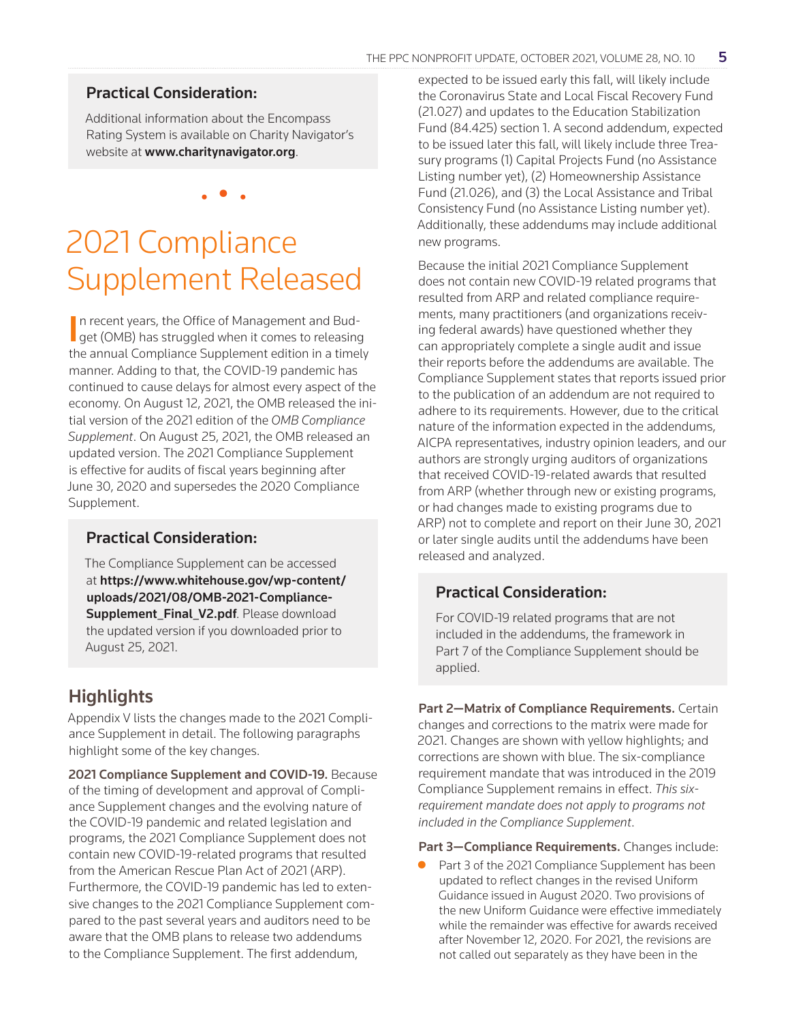### Practical Consideration:

Additional information about the Encompass Rating System is available on Charity Navigator's website at www.charitynavigator.org.

• • •

# 2021 Compliance Supplement Released

In recent years, the Office of Management and Bud-<br>get (OMB) has struggled when it comes to releasing  $\blacksquare$  get (OMB) has struggled when it comes to releasing the annual Compliance Supplement edition in a timely manner. Adding to that, the COVID-19 pandemic has continued to cause delays for almost every aspect of the economy. On August 12, 2021, the OMB released the initial version of the 2021 edition of the *OMB Compliance Supplement*. On August 25, 2021, the OMB released an updated version. The 2021 Compliance Supplement is effective for audits of fiscal years beginning after June 30, 2020 and supersedes the 2020 Compliance Supplement.

### Practical Consideration:

The Compliance Supplement can be accessed at https://www.whitehouse.gov/wp-content/ uploads/2021/08/OMB-2021-Compliance-Supplement Final V2.pdf. Please download the updated version if you downloaded prior to August 25, 2021.

# **Highlights**

Appendix V lists the changes made to the 2021 Compliance Supplement in detail. The following paragraphs highlight some of the key changes.

2021 Compliance Supplement and COVID-19. Because of the timing of development and approval of Compliance Supplement changes and the evolving nature of the COVID-19 pandemic and related legislation and programs, the 2021 Compliance Supplement does not contain new COVID-19-related programs that resulted from the American Rescue Plan Act of 2021 (ARP). Furthermore, the COVID-19 pandemic has led to extensive changes to the 2021 Compliance Supplement compared to the past several years and auditors need to be aware that the OMB plans to release two addendums to the Compliance Supplement. The first addendum,

expected to be issued early this fall, will likely include the Coronavirus State and Local Fiscal Recovery Fund (21.027) and updates to the Education Stabilization Fund (84.425) section 1. A second addendum, expected to be issued later this fall, will likely include three Treasury programs (1) Capital Projects Fund (no Assistance Listing number yet), (2) Homeownership Assistance Fund (21.026), and (3) the Local Assistance and Tribal Consistency Fund (no Assistance Listing number yet). Additionally, these addendums may include additional new programs.

Because the initial 2021 Compliance Supplement does not contain new COVID-19 related programs that resulted from ARP and related compliance requirements, many practitioners (and organizations receiving federal awards) have questioned whether they can appropriately complete a single audit and issue their reports before the addendums are available. The Compliance Supplement states that reports issued prior to the publication of an addendum are not required to adhere to its requirements. However, due to the critical nature of the information expected in the addendums, AICPA representatives, industry opinion leaders, and our authors are strongly urging auditors of organizations that received COVID-19-related awards that resulted from ARP (whether through new or existing programs, or had changes made to existing programs due to ARP) not to complete and report on their June 30, 2021 or later single audits until the addendums have been released and analyzed.

### Practical Consideration:

For COVID-19 related programs that are not included in the addendums, the framework in Part 7 of the Compliance Supplement should be applied.

Part 2-Matrix of Compliance Requirements. Certain changes and corrections to the matrix were made for 2021. Changes are shown with yellow highlights; and corrections are shown with blue. The six-compliance requirement mandate that was introduced in the 2019 Compliance Supplement remains in effect. *This sixrequirement mandate does not apply to programs not included in the Compliance Supplement*.

Part 3-Compliance Requirements. Changes include:

**• Part 3 of the 2021 Compliance Supplement has been** updated to reflect changes in the revised Uniform Guidance issued in August 2020. Two provisions of the new Uniform Guidance were effective immediately while the remainder was effective for awards received after November 12, 2020. For 2021, the revisions are not called out separately as they have been in the